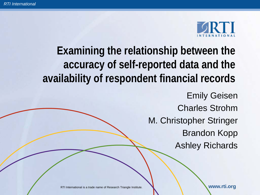

# **Examining the relationship between the accuracy of self-reported data and the availability of respondent financial records**

Emily Geisen Charles Strohm M. Christopher Stringer Brandon Kopp Ashley Richards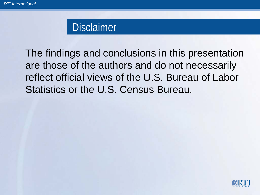#### **Disclaimer**

The findings and conclusions in this presentation are those of the authors and do not necessarily reflect official views of the U.S. Bureau of Labor Statistics or the U.S. Census Bureau.

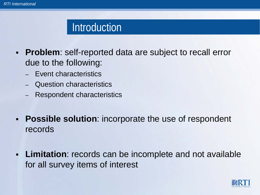#### **Introduction**

- **Problem**: self-reported data are subject to recall error due to the following:
	- Event characteristics
	- Question characteristics
	- Respondent characteristics
- **Possible solution**: incorporate the use of respondent records
- **Limitation**: records can be incomplete and not available for all survey items of interest

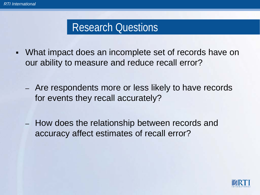## Research Questions

- What impact does an incomplete set of records have on our ability to measure and reduce recall error?
	- Are respondents more or less likely to have records for events they recall accurately?
	- How does the relationship between records and accuracy affect estimates of recall error?

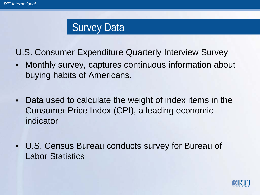Survey Data

U.S. Consumer Expenditure Quarterly Interview Survey

- Monthly survey, captures continuous information about buying habits of Americans.
- Data used to calculate the weight of index items in the Consumer Price Index (CPI), a leading economic indicator
- U.S. Census Bureau conducts survey for Bureau of Labor Statistics

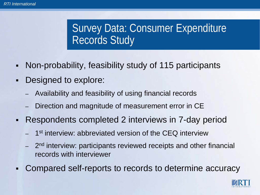# Survey Data: Consumer Expenditure Records Study

- Non-probability, feasibility study of 115 participants
- Designed to explore:
	- Availability and feasibility of using financial records
	- Direction and magnitude of measurement error in CE
- Respondents completed 2 interviews in 7-day period
	- 1<sup>st</sup> interview: abbreviated version of the CEQ interview
	- 2<sup>nd</sup> interview: participants reviewed receipts and other financial records with interviewer
- Compared self-reports to records to determine accuracy

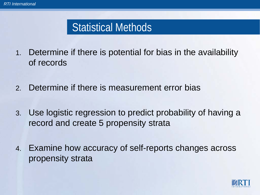## Statistical Methods

- 1. Determine if there is potential for bias in the availability of records
- 2. Determine if there is measurement error bias
- 3. Use logistic regression to predict probability of having a record and create 5 propensity strata
- 4. Examine how accuracy of self-reports changes across propensity strata

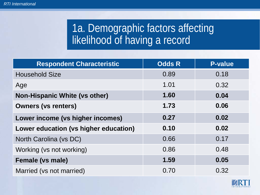## 1a. Demographic factors affecting likelihood of having a record

| <b>Respondent Characteristic</b>      | <b>Odds R</b> | <b>P-value</b> |
|---------------------------------------|---------------|----------------|
| <b>Household Size</b>                 | 0.89          | 0.18           |
| Age                                   | 1.01          | 0.32           |
| <b>Non-Hispanic White (vs other)</b>  | 1.60          | 0.04           |
| <b>Owners (vs renters)</b>            | 1.73          | 0.06           |
| Lower income (vs higher incomes)      | 0.27          | 0.02           |
| Lower education (vs higher education) | 0.10          | 0.02           |
| North Carolina (vs DC)                | 0.66          | 0.17           |
| Working (vs not working)              | 0.86          | 0.48           |
| <b>Female (vs male)</b>               | 1.59          | 0.05           |
| Married (vs not married)              | 0.70          | 0.32           |

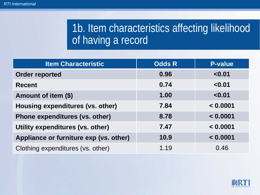# 1b. Item characteristics affecting likelihood of having a record

| <b>Item Characteristic</b>             | <b>Odds R</b> | <b>P-value</b> |
|----------------------------------------|---------------|----------------|
| <b>Order reported</b>                  | 0.96          | < 0.01         |
| <b>Recent</b>                          | 0.74          | < 0.01         |
| Amount of item (\$)                    | 1.00          | < 0.01         |
| Housing expenditures (vs. other)       | 7.84          | < 0.0001       |
| Phone expenditures (vs. other)         | 8.78          | < 0.0001       |
| Utility expenditures (vs. other)       | 7.47          | < 0.0001       |
| Appliance or furniture exp (vs. other) | 10.9          | < 0.0001       |
| Clothing expenditures (vs. other)      | 1.19          | 0.46           |

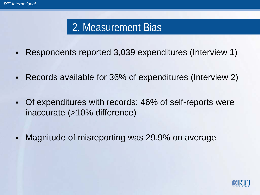## 2. Measurement Bias

- Respondents reported 3,039 expenditures (Interview 1)
- Records available for 36% of expenditures (Interview 2)
- Of expenditures with records: 46% of self-reports were inaccurate (>10% difference)
- Magnitude of misreporting was 29.9% on average

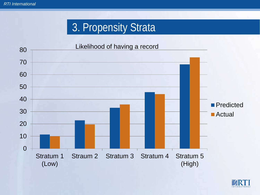# 3. Propensity Strata



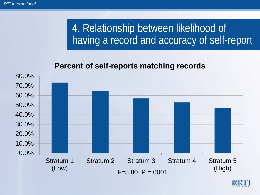# 4. Relationship between likelihood of having a record and accuracy of self-report

#### **Percent of self-reports matching records**



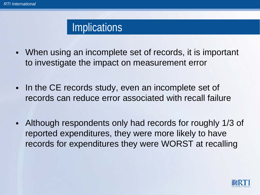#### Implications

- When using an incomplete set of records, it is important to investigate the impact on measurement error
- In the CE records study, even an incomplete set of records can reduce error associated with recall failure
- Although respondents only had records for roughly 1/3 of reported expenditures, they were more likely to have records for expenditures they were WORST at recalling

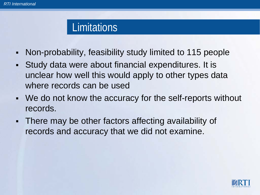#### **Limitations**

- Non-probability, feasibility study limited to 115 people
- Study data were about financial expenditures. It is unclear how well this would apply to other types data where records can be used
- We do not know the accuracy for the self-reports without records.
- There may be other factors affecting availability of records and accuracy that we did not examine.

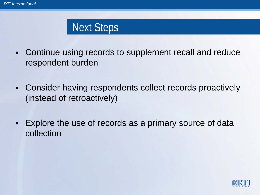## Next Steps

- Continue using records to supplement recall and reduce respondent burden
- Consider having respondents collect records proactively (instead of retroactively)
- Explore the use of records as a primary source of data collection